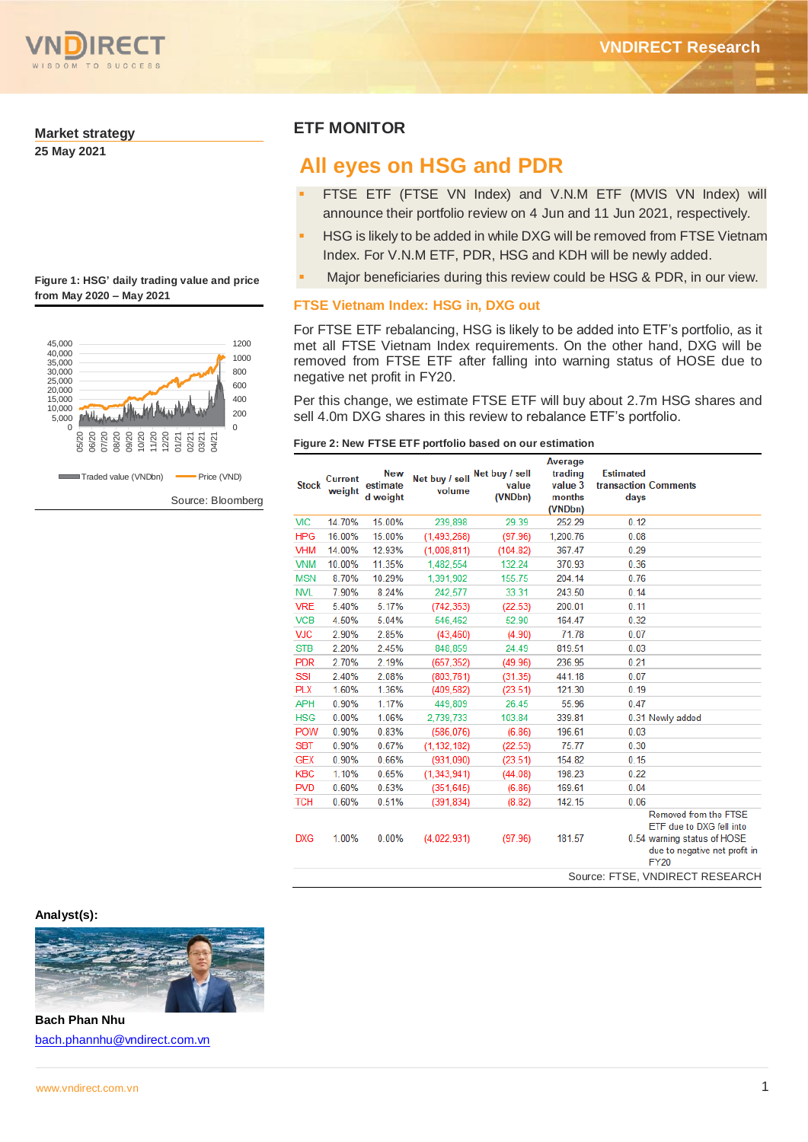

#### **Market strategy**

**25 May 2021**

| Figure 1: HSG' daily trading value and price |  |
|----------------------------------------------|--|
| from May 2020 - May 2021                     |  |



Source: Bloomberg

## **ETF MONITOR**

# **All eyes on HSG and PDR**

- FTSE ETF (FTSE VN Index) and V.N.M ETF (MVIS VN Index) will announce their portfolio review on 4 Jun and 11 Jun 2021, respectively.
- HSG is likely to be added in while DXG will be removed from FTSE Vietnam Index. For V.N.M ETF, PDR, HSG and KDH will be newly added.
- Major beneficiaries during this review could be HSG & PDR, in our view.

### **FTSE Vietnam Index: HSG in, DXG out**

For FTSE ETF rebalancing, HSG is likely to be added into ETF's portfolio, as it met all FTSE Vietnam Index requirements. On the other hand, DXG will be removed from FTSE ETF after falling into warning status of HOSE due to negative net profit in FY20.

Per this change, we estimate FTSE ETF will buy about 2.7m HSG shares and sell 4.0m DXG shares in this review to rebalance ETF's portfolio.

|  | Figure 2: New FTSE ETF portfolio based on our estimation |
|--|----------------------------------------------------------|
|  |                                                          |

| <b>Stock</b> | <b>Current</b><br>weight | <b>New</b><br>estimate<br>d weight | Net buy / sell<br>volume | Net buy / sell<br>value<br>(VNDbn) | Average<br>trading<br>value 3<br>months<br>(VNDbn) | <b>Estimated</b><br><b>transaction Comments</b><br>days |                                                                                                                                  |
|--------------|--------------------------|------------------------------------|--------------------------|------------------------------------|----------------------------------------------------|---------------------------------------------------------|----------------------------------------------------------------------------------------------------------------------------------|
| <b>VIC</b>   | 14.70%                   | 15.00%                             | 239,898                  | 29.39                              | 252.29                                             | 0.12                                                    |                                                                                                                                  |
| <b>HPG</b>   | 16.00%                   | 15.00%                             | (1,493,268)              | (97.96)                            | 1,200.76                                           | 0.08                                                    |                                                                                                                                  |
| <b>VHM</b>   | 14.00%                   | 12.93%                             | (1,008,811)              | (104.82)                           | 367.47                                             | 0.29                                                    |                                                                                                                                  |
| <b>VNM</b>   | 10.00%                   | 11.35%                             | 1,482,554                | 132.24                             | 370.93                                             | 0.36                                                    |                                                                                                                                  |
| <b>MSN</b>   | 8.70%                    | 10.29%                             | 1,391,902                | 155.75                             | 204.14                                             | 0.76                                                    |                                                                                                                                  |
| <b>NVL</b>   | 7.90%                    | 8.24%                              | 242,577                  | 33.31                              | 243.50                                             | 0.14                                                    |                                                                                                                                  |
| <b>VRE</b>   | 5.40%                    | 5.17%                              | (742.353)                | (22.53)                            | 200.01                                             | 0.11                                                    |                                                                                                                                  |
| <b>VCB</b>   | 4.50%                    | 5.04%                              | 546.462                  | 52.90                              | 164.47                                             | 0.32                                                    |                                                                                                                                  |
| <b>VJC</b>   | 2.90%                    | 2.85%                              | (43, 460)                | (4.90)                             | 71.78                                              | 0.07                                                    |                                                                                                                                  |
| <b>STB</b>   | 2.20%                    | 2.45%                              | 848,859                  | 24.49                              | 819.51                                             | 0.03                                                    |                                                                                                                                  |
| <b>PDR</b>   | 2.70%                    | 2.19%                              | (657, 352)               | (49.96)                            | 236.95                                             | 0.21                                                    |                                                                                                                                  |
| SSI          | 2.40%                    | 2.08%                              | (803.761)                | (31.35)                            | 441.18                                             | 0.07                                                    |                                                                                                                                  |
| <b>PLX</b>   | 1.60%                    | 1.36%                              | (409, 582)               | (23.51)                            | 121.30                                             | 0.19                                                    |                                                                                                                                  |
| <b>APH</b>   | 0.90%                    | 1.17%                              | 449,809                  | 26.45                              | 55.96                                              | 0.47                                                    |                                                                                                                                  |
| <b>HSG</b>   | 0.00%                    | 1.06%                              | 2.739.733                | 103.84                             | 339.81                                             |                                                         | 0.31 Newly added                                                                                                                 |
| <b>POW</b>   | 0.90%                    | 0.83%                              | (586, 076)               | (6.86)                             | 196.61                                             | 0.03                                                    |                                                                                                                                  |
| <b>SBT</b>   | 0.90%                    | 0.67%                              | (1, 132, 182)            | (22.53)                            | 75.77                                              | 0.30                                                    |                                                                                                                                  |
| <b>GEX</b>   | 0.90%                    | 0.66%                              | (931,090)                | (23.51)                            | 154.82                                             | 0.15                                                    |                                                                                                                                  |
| <b>KBC</b>   | 1.10%                    | 0.65%                              | (1,343,941)              | (44.08)                            | 198.23                                             | 0.22                                                    |                                                                                                                                  |
| <b>PVD</b>   | 0.60%                    | 0.53%                              | (351.645)                | (6.86)                             | 169.61                                             | 0.04                                                    |                                                                                                                                  |
| <b>TCH</b>   | 0.60%                    | 0.51%                              | (391, 834)               | (8.82)                             | 142.15                                             | 0.06                                                    |                                                                                                                                  |
| <b>DXG</b>   | 1.00%                    | 0.00%                              | (4.022.931)              | (97.96)                            | 181.57                                             |                                                         | Removed from the FTSE<br>ETF due to DXG fell into<br>0.54 warning status of HOSE<br>due to negative net profit in<br><b>FY20</b> |
|              |                          |                                    |                          |                                    |                                                    |                                                         | Source: FTSE, VNDIRECT RESEARCH                                                                                                  |

**Analyst(s):**



**Bach Phan Nhu** [bach.phannhu@vndirect.com.vn](mailto:bach.phannhu@vndirect.com.vn)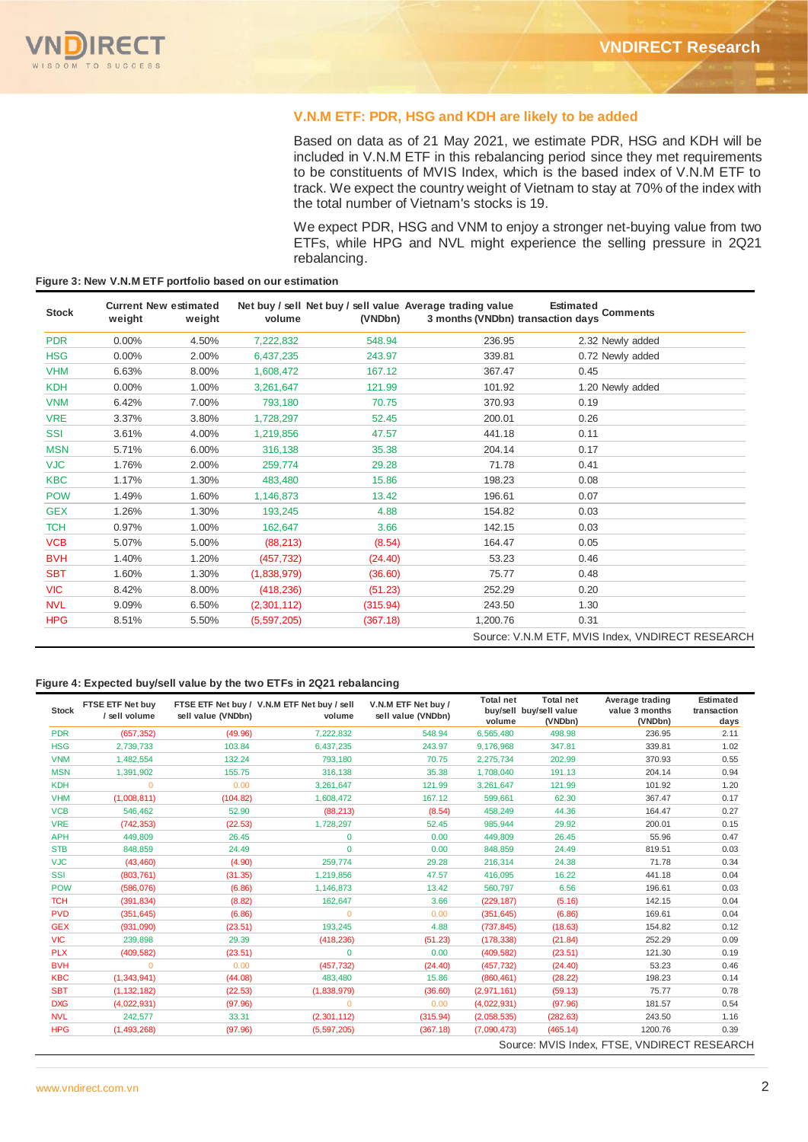

### **V.N.M ETF: PDR, HSG and KDH are likely to be added**

Based on data as of 21 May 2021, we estimate PDR, HSG and KDH will be included in V.N.M ETF in this rebalancing period since they met requirements to be constituents of MVIS Index, which is the based index of V.N.M ETF to track. We expect the country weight of Vietnam to stay at 70% of the index with the total number of Vietnam's stocks is 19.

We expect PDR, HSG and VNM to enjoy a stronger net-buying value from two ETFs, while HPG and NVL might experience the selling pressure in 2Q21 rebalancing.

| <b>Stock</b> | <b>Current New estimated</b><br>weight | weight | volume      | (VNDbn)  | Net buy / sell Net buy / sell value Average trading value<br>3 months (VNDbn) transaction days | Estimated<br>Comments                            |
|--------------|----------------------------------------|--------|-------------|----------|------------------------------------------------------------------------------------------------|--------------------------------------------------|
| <b>PDR</b>   | $0.00\%$                               | 4.50%  | 7,222,832   | 548.94   | 236.95                                                                                         | 2.32 Newly added                                 |
| <b>HSG</b>   | 0.00%                                  | 2.00%  | 6,437,235   | 243.97   | 339.81                                                                                         | 0.72 Newly added                                 |
| <b>VHM</b>   | 6.63%                                  | 8.00%  | 1,608,472   | 167.12   | 367.47                                                                                         | 0.45                                             |
| <b>KDH</b>   | $0.00\%$                               | 1.00%  | 3,261,647   | 121.99   | 101.92                                                                                         | 1.20 Newly added                                 |
| <b>VNM</b>   | 6.42%                                  | 7.00%  | 793,180     | 70.75    | 370.93                                                                                         | 0.19                                             |
| <b>VRE</b>   | 3.37%                                  | 3.80%  | 1,728,297   | 52.45    | 200.01                                                                                         | 0.26                                             |
| <b>SSI</b>   | 3.61%                                  | 4.00%  | 1,219,856   | 47.57    | 441.18                                                                                         | 0.11                                             |
| <b>MSN</b>   | 5.71%                                  | 6.00%  | 316,138     | 35.38    | 204.14                                                                                         | 0.17                                             |
| <b>VJC</b>   | 1.76%                                  | 2.00%  | 259,774     | 29.28    | 71.78                                                                                          | 0.41                                             |
| <b>KBC</b>   | 1.17%                                  | 1.30%  | 483,480     | 15.86    | 198.23                                                                                         | 0.08                                             |
| <b>POW</b>   | 1.49%                                  | 1.60%  | 1,146,873   | 13.42    | 196.61                                                                                         | 0.07                                             |
| <b>GEX</b>   | 1.26%                                  | 1.30%  | 193,245     | 4.88     | 154.82                                                                                         | 0.03                                             |
| <b>TCH</b>   | 0.97%                                  | 1.00%  | 162,647     | 3.66     | 142.15                                                                                         | 0.03                                             |
| <b>VCB</b>   | 5.07%                                  | 5.00%  | (88, 213)   | (8.54)   | 164.47                                                                                         | 0.05                                             |
| <b>BVH</b>   | 1.40%                                  | 1.20%  | (457, 732)  | (24.40)  | 53.23                                                                                          | 0.46                                             |
| <b>SBT</b>   | 1.60%                                  | 1.30%  | (1,838,979) | (36.60)  | 75.77                                                                                          | 0.48                                             |
| <b>VIC</b>   | 8.42%                                  | 8.00%  | (418, 236)  | (51.23)  | 252.29                                                                                         | 0.20                                             |
| <b>NVL</b>   | 9.09%                                  | 6.50%  | (2,301,112) | (315.94) | 243.50                                                                                         | 1.30                                             |
| <b>HPG</b>   | 8.51%                                  | 5.50%  | (5,597,205) | (367.18) | 1,200.76                                                                                       | 0.31                                             |
|              |                                        |        |             |          |                                                                                                | Source: V.N.M ETF, MVIS Index, VNDIRECT RESEARCH |

#### **Figure 3: New V.N.M ETF portfolio based on our estimation**

#### **Figure 4: Expected buy/sell value by the two ETFs in 2Q21 rebalancing**

| <b>Stock</b> | FTSE ETF Net buy<br>/ sell volume | sell value (VNDbn) | FTSE ETF Net buy / V.N.M ETF Net buy / sell<br>volume | V.N.M ETF Net buy /<br>sell value (VNDbn) | <b>Total net</b><br>volume | <b>Total net</b><br>buy/sell buy/sell value<br>(VNDbn) | Average trading<br>value 3 months<br>(VNDbn) | Estimated<br>transaction<br>days |
|--------------|-----------------------------------|--------------------|-------------------------------------------------------|-------------------------------------------|----------------------------|--------------------------------------------------------|----------------------------------------------|----------------------------------|
| <b>PDR</b>   | (657, 352)                        | (49.96)            | 7,222,832                                             | 548.94                                    | 6,565,480                  | 498.98                                                 | 236.95                                       | 2.11                             |
| <b>HSG</b>   | 2,739,733                         | 103.84             | 6,437,235                                             | 243.97                                    | 9,176,968                  | 347.81                                                 | 339.81                                       | 1.02                             |
| <b>VNM</b>   | 1,482,554                         | 132.24             | 793,180                                               | 70.75                                     | 2,275,734                  | 202.99                                                 | 370.93                                       | 0.55                             |
| <b>MSN</b>   | 1,391,902                         | 155.75             | 316,138                                               | 35.38                                     | 1,708,040                  | 191.13                                                 | 204.14                                       | 0.94                             |
| <b>KDH</b>   | $\Omega$                          | 0.00               | 3,261,647                                             | 121.99                                    | 3,261,647                  | 121.99                                                 | 101.92                                       | 1.20                             |
| <b>VHM</b>   | (1,008,811)                       | (104.82)           | 1,608,472                                             | 167.12                                    | 599,661                    | 62.30                                                  | 367.47                                       | 0.17                             |
| <b>VCB</b>   | 546.462                           | 52.90              | (88, 213)                                             | (8.54)                                    | 458,249                    | 44.36                                                  | 164.47                                       | 0.27                             |
| <b>VRE</b>   | (742, 353)                        | (22.53)            | 1,728,297                                             | 52.45                                     | 985,944                    | 29.92                                                  | 200.01                                       | 0.15                             |
| <b>APH</b>   | 449,809                           | 26.45              | 0                                                     | 0.00                                      | 449,809                    | 26.45                                                  | 55.96                                        | 0.47                             |
| <b>STB</b>   | 848,859                           | 24.49              | $\mathbf{0}$                                          | 0.00                                      | 848,859                    | 24.49                                                  | 819.51                                       | 0.03                             |
| <b>VJC</b>   | (43, 460)                         | (4.90)             | 259,774                                               | 29.28                                     | 216,314                    | 24.38                                                  | 71.78                                        | 0.34                             |
| <b>SSI</b>   | (803, 761)                        | (31.35)            | 1,219,856                                             | 47.57                                     | 416,095                    | 16.22                                                  | 441.18                                       | 0.04                             |
| <b>POW</b>   | (586, 076)                        | (6.86)             | 1,146,873                                             | 13.42                                     | 560,797                    | 6.56                                                   | 196.61                                       | 0.03                             |
| <b>TCH</b>   | (391, 834)                        | (8.82)             | 162,647                                               | 3.66                                      | (229, 187)                 | (5.16)                                                 | 142.15                                       | 0.04                             |
| <b>PVD</b>   | (351, 645)                        | (6.86)             | $\mathbf{0}$                                          | 0.00                                      | (351, 645)                 | (6.86)                                                 | 169.61                                       | 0.04                             |
| <b>GEX</b>   | (931,090)                         | (23.51)            | 193,245                                               | 4.88                                      | (737, 845)                 | (18.63)                                                | 154.82                                       | 0.12                             |
| <b>VIC</b>   | 239,898                           | 29.39              | (418, 236)                                            | (51.23)                                   | (178, 338)                 | (21.84)                                                | 252.29                                       | 0.09                             |
| <b>PLX</b>   | (409, 582)                        | (23.51)            | $\mathbf{0}$                                          | 0.00                                      | (409, 582)                 | (23.51)                                                | 121.30                                       | 0.19                             |
| <b>BVH</b>   | $\mathbf{0}$                      | 0.00               | (457, 732)                                            | (24.40)                                   | (457, 732)                 | (24.40)                                                | 53.23                                        | 0.46                             |
| <b>KBC</b>   | (1, 343, 941)                     | (44.08)            | 483,480                                               | 15.86                                     | (860, 461)                 | (28.22)                                                | 198.23                                       | 0.14                             |
| <b>SBT</b>   | (1, 132, 182)                     | (22.53)            | (1,838,979)                                           | (36.60)                                   | (2,971,161)                | (59.13)                                                | 75.77                                        | 0.78                             |
| <b>DXG</b>   | (4,022,931)                       | (97.96)            | $\mathbf{0}$                                          | 0.00                                      | (4,022,931)                | (97.96)                                                | 181.57                                       | 0.54                             |
| <b>NVL</b>   | 242,577                           | 33.31              | (2,301,112)                                           | (315.94)                                  | (2,058,535)                | (282.63)                                               | 243.50                                       | 1.16                             |
| <b>HPG</b>   | (1,493,268)                       | (97.96)            | (5,597,205)                                           | (367.18)                                  | (7,090,473)                | (465.14)                                               | 1200.76                                      | 0.39                             |
|              |                                   |                    |                                                       |                                           |                            |                                                        | Source: MVIS Index, FTSE, VNDIRECT RESEARCH  |                                  |